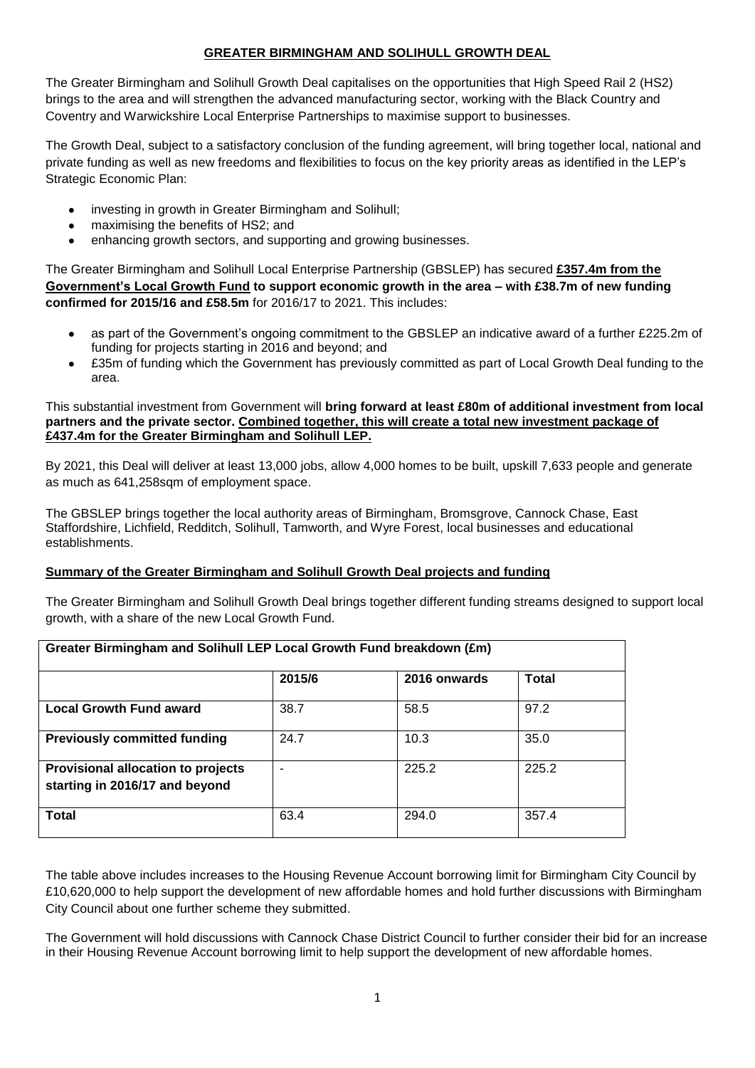## **GREATER BIRMINGHAM AND SOLIHULL GROWTH DEAL**

The Greater Birmingham and Solihull Growth Deal capitalises on the opportunities that High Speed Rail 2 (HS2) brings to the area and will strengthen the advanced manufacturing sector, working with the Black Country and Coventry and Warwickshire Local Enterprise Partnerships to maximise support to businesses.

The Growth Deal, subject to a satisfactory conclusion of the funding agreement, will bring together local, national and private funding as well as new freedoms and flexibilities to focus on the key priority areas as identified in the LEP's Strategic Economic Plan:

- investing in growth in Greater Birmingham and Solihull;
- maximising the benefits of HS2; and
- enhancing growth sectors, and supporting and growing businesses.

The Greater Birmingham and Solihull Local Enterprise Partnership (GBSLEP) has secured **£357.4m from the Government's Local Growth Fund to support economic growth in the area – with £38.7m of new funding confirmed for 2015/16 and £58.5m** for 2016/17 to 2021. This includes:

- as part of the Government's ongoing commitment to the GBSLEP an indicative award of a further £225.2m of funding for projects starting in 2016 and beyond; and
- £35m of funding which the Government has previously committed as part of Local Growth Deal funding to the area.

#### This substantial investment from Government will **bring forward at least £80m of additional investment from local partners and the private sector. Combined together, this will create a total new investment package of £437.4m for the Greater Birmingham and Solihull LEP.**

By 2021, this Deal will deliver at least 13,000 jobs, allow 4,000 homes to be built, upskill 7,633 people and generate as much as 641,258sqm of employment space.

The GBSLEP brings together the local authority areas of Birmingham, Bromsgrove, Cannock Chase, East Staffordshire, Lichfield, Redditch, Solihull, Tamworth, and Wyre Forest, local businesses and educational establishments.

### **Summary of the Greater Birmingham and Solihull Growth Deal projects and funding**

The Greater Birmingham and Solihull Growth Deal brings together different funding streams designed to support local growth, with a share of the new Local Growth Fund.

| Greater Birmingham and Solihull LEP Local Growth Fund breakdown (£m)        |        |              |       |
|-----------------------------------------------------------------------------|--------|--------------|-------|
|                                                                             | 2015/6 | 2016 onwards | Total |
| <b>Local Growth Fund award</b>                                              | 38.7   | 58.5         | 97.2  |
| <b>Previously committed funding</b>                                         | 24.7   | 10.3         | 35.0  |
| <b>Provisional allocation to projects</b><br>starting in 2016/17 and beyond |        | 225.2        | 225.2 |
| <b>Total</b>                                                                | 63.4   | 294.0        | 357.4 |

The table above includes increases to the Housing Revenue Account borrowing limit for Birmingham City Council by £10,620,000 to help support the development of new affordable homes and hold further discussions with Birmingham City Council about one further scheme they submitted.

The Government will hold discussions with Cannock Chase District Council to further consider their bid for an increase in their Housing Revenue Account borrowing limit to help support the development of new affordable homes.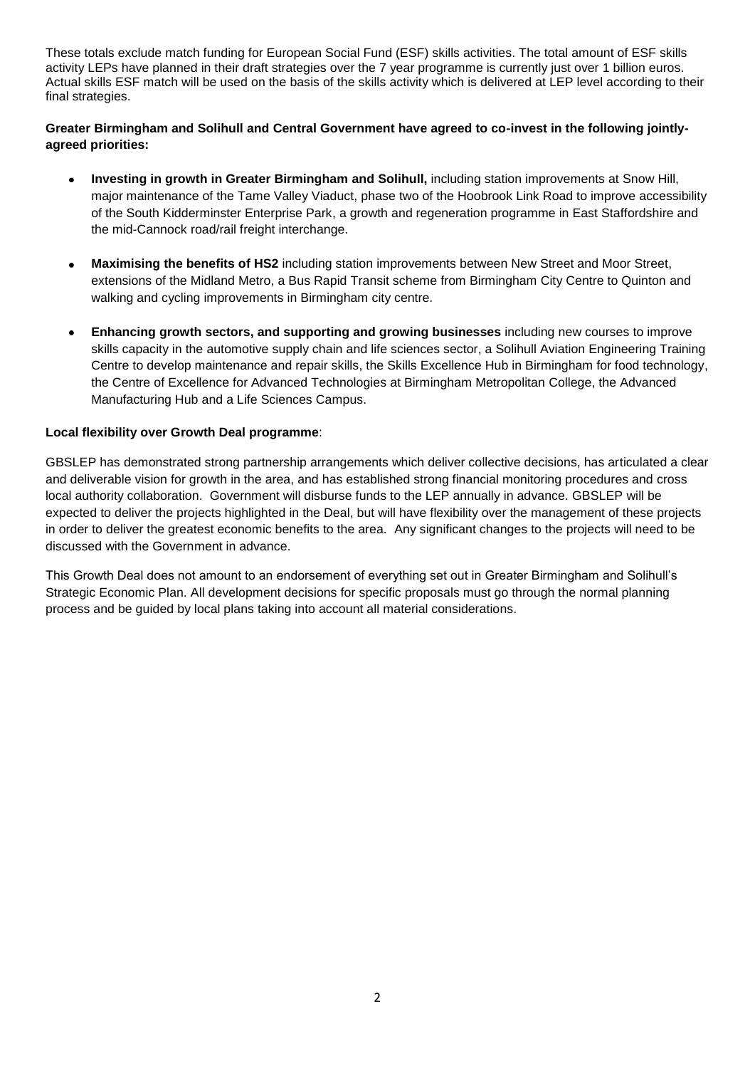These totals exclude match funding for European Social Fund (ESF) skills activities. The total amount of ESF skills activity LEPs have planned in their draft strategies over the 7 year programme is currently just over 1 billion euros. Actual skills ESF match will be used on the basis of the skills activity which is delivered at LEP level according to their final strategies.

**Greater Birmingham and Solihull and Central Government have agreed to co-invest in the following jointlyagreed priorities:**

- **Investing in growth in Greater Birmingham and Solihull,** including station improvements at Snow Hill, major maintenance of the Tame Valley Viaduct, phase two of the Hoobrook Link Road to improve accessibility of the South Kidderminster Enterprise Park, a growth and regeneration programme in East Staffordshire and the mid-Cannock road/rail freight interchange.
- **Maximising the benefits of HS2** including station improvements between New Street and Moor Street, extensions of the Midland Metro, a Bus Rapid Transit scheme from Birmingham City Centre to Quinton and [walking and cycling improvements](http://centreofenterprise.com/wp-content/uploads/2014/03/6-Business-Case.pdf) in Birmingham city centre.
- **Enhancing growth sectors, and supporting and growing businesses** including new courses to improve skills capacity in the automotive supply chain and life sciences sector, a Solihull Aviation Engineering Training Centre to develop maintenance and repair skills, the Skills Excellence Hub in Birmingham for food technology, the Centre of Excellence for Advanced Technologies at Birmingham Metropolitan College, the Advanced Manufacturing Hub and a Life Sciences Campus.

### **Local flexibility over Growth Deal programme**:

GBSLEP has demonstrated strong partnership arrangements which deliver collective decisions, has articulated a clear and deliverable vision for growth in the area, and has established strong financial monitoring procedures and cross local authority collaboration. Government will disburse funds to the LEP annually in advance. GBSLEP will be expected to deliver the projects highlighted in the Deal, but will have flexibility over the management of these projects in order to deliver the greatest economic benefits to the area. Any significant changes to the projects will need to be discussed with the Government in advance.

This Growth Deal does not amount to an endorsement of everything set out in Greater Birmingham and Solihull's Strategic Economic Plan. All development decisions for specific proposals must go through the normal planning process and be guided by local plans taking into account all material considerations.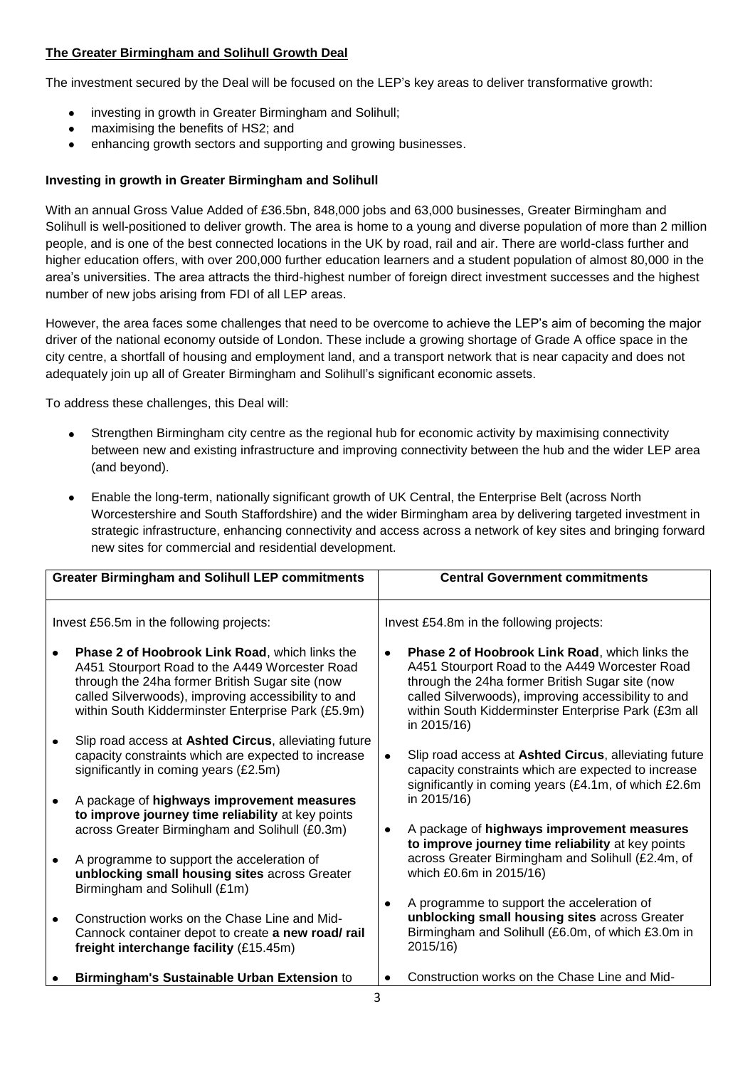### **The Greater Birmingham and Solihull Growth Deal**

The investment secured by the Deal will be focused on the LEP's key areas to deliver transformative growth:

- investing in growth in Greater Birmingham and Solihull;
- maximising the benefits of HS2; and
- enhancing growth sectors and supporting and growing businesses.

### **Investing in growth in Greater Birmingham and Solihull**

With an annual Gross Value Added of £36.5bn, 848,000 jobs and 63,000 businesses, Greater Birmingham and Solihull is well-positioned to deliver growth. The area is home to a young and diverse population of more than 2 million people, and is one of the best connected locations in the UK by road, rail and air. There are world-class further and higher education offers, with over 200,000 further education learners and a student population of almost 80,000 in the area's universities. The area attracts the third-highest number of foreign direct investment successes and the highest number of new jobs arising from FDI of all LEP areas.

However, the area faces some challenges that need to be overcome to achieve the LEP's aim of becoming the major driver of the national economy outside of London. These include a growing shortage of Grade A office space in the city centre, a shortfall of housing and employment land, and a transport network that is near capacity and does not adequately join up all of Greater Birmingham and Solihull's significant economic assets.

To address these challenges, this Deal will:

- Strengthen Birmingham city centre as the regional hub for economic activity by maximising connectivity between new and existing infrastructure and improving connectivity between the hub and the wider LEP area (and beyond).
- Enable the long-term, nationally significant growth of UK Central, the Enterprise Belt (across North Worcestershire and South Staffordshire) and the wider Birmingham area by delivering targeted investment in strategic infrastructure, enhancing connectivity and access across a network of key sites and bringing forward new sites for commercial and residential development.

| <b>Greater Birmingham and Solihull LEP commitments</b> |                                                                                                                                                                                                                                                                         |           | <b>Central Government commitments</b>                                                                                                                                                                                                                                                   |
|--------------------------------------------------------|-------------------------------------------------------------------------------------------------------------------------------------------------------------------------------------------------------------------------------------------------------------------------|-----------|-----------------------------------------------------------------------------------------------------------------------------------------------------------------------------------------------------------------------------------------------------------------------------------------|
|                                                        | Invest £56.5m in the following projects:                                                                                                                                                                                                                                |           | Invest £54.8m in the following projects:                                                                                                                                                                                                                                                |
|                                                        | <b>Phase 2 of Hoobrook Link Road, which links the</b><br>A451 Stourport Road to the A449 Worcester Road<br>through the 24ha former British Sugar site (now<br>called Silverwoods), improving accessibility to and<br>within South Kidderminster Enterprise Park (£5.9m) | $\bullet$ | <b>Phase 2 of Hoobrook Link Road, which links the</b><br>A451 Stourport Road to the A449 Worcester Road<br>through the 24ha former British Sugar site (now<br>called Silverwoods), improving accessibility to and<br>within South Kidderminster Enterprise Park (£3m all<br>in 2015/16) |
|                                                        | Slip road access at Ashted Circus, alleviating future<br>capacity constraints which are expected to increase<br>significantly in coming years (£2.5m)                                                                                                                   | $\bullet$ | Slip road access at Ashted Circus, alleviating future<br>capacity constraints which are expected to increase<br>significantly in coming years (£4.1m, of which £2.6m                                                                                                                    |
|                                                        | A package of highways improvement measures<br>to improve journey time reliability at key points<br>across Greater Birmingham and Solihull (£0.3m)                                                                                                                       | $\bullet$ | in 2015/16)<br>A package of highways improvement measures                                                                                                                                                                                                                               |
|                                                        | A programme to support the acceleration of<br>unblocking small housing sites across Greater<br>Birmingham and Solihull (£1m)                                                                                                                                            |           | to improve journey time reliability at key points<br>across Greater Birmingham and Solihull (£2.4m, of<br>which £0.6m in 2015/16)                                                                                                                                                       |
|                                                        | Construction works on the Chase Line and Mid-<br>Cannock container depot to create a new road/rail<br>freight interchange facility (£15.45m)                                                                                                                            | $\bullet$ | A programme to support the acceleration of<br>unblocking small housing sites across Greater<br>Birmingham and Solihull (£6.0m, of which £3.0m in<br>2015/16)                                                                                                                            |
|                                                        | Birmingham's Sustainable Urban Extension to                                                                                                                                                                                                                             |           | Construction works on the Chase Line and Mid-                                                                                                                                                                                                                                           |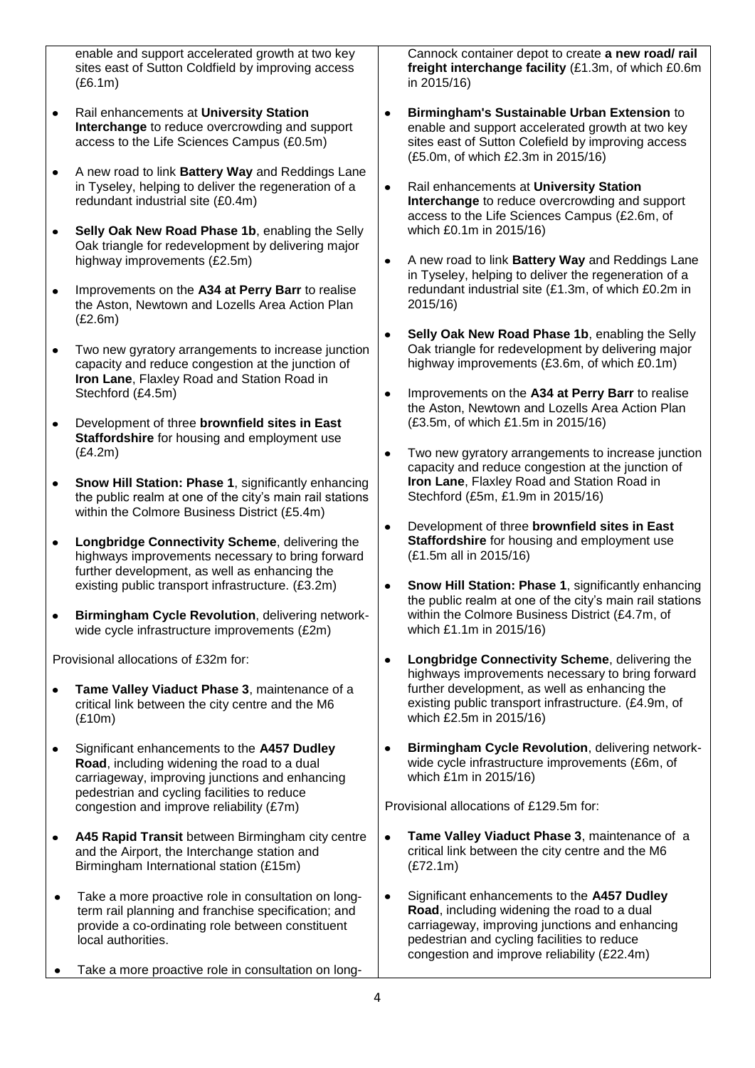enable and support accelerated growth at two key sites east of Sutton Coldfield by improving access (£6.1m)

- Rail enhancements at **University Station**   $\bullet$ **Interchange** to reduce overcrowding and support access to the Life Sciences Campus (£0.5m)
- A new road to link **Battery Way** and Reddings Lane  $\bullet$ in Tyseley, helping to deliver the regeneration of a redundant industrial site (£0.4m)
- **Selly Oak New Road Phase 1b**, enabling the Selly  $\bullet$ Oak triangle for redevelopment by delivering major highway improvements (£2.5m)
- Improvements on the **A34 at Perry Barr** to realise  $\bullet$ the Aston, Newtown and Lozells Area Action Plan (£2.6m)
- Two new gyratory arrangements to increase junction  $\bullet$ capacity and reduce congestion at the junction of **Iron Lane**, Flaxley Road and Station Road in Stechford (£4.5m)
- Development of three **brownfield sites in East**   $\bullet$ **Staffordshire** for housing and employment use (£4.2m)
- **Snow Hill Station: Phase 1**, significantly enhancing  $\bullet$ the public realm at one of the city's main rail stations within the Colmore Business District (£5.4m)
- **Longbridge Connectivity Scheme**, delivering the  $\bullet$ highways improvements necessary to bring forward further development, as well as enhancing the existing public transport infrastructure. (£3.2m)
- $\bullet$ **Birmingham Cycle Revolution**, delivering networkwide cycle infrastructure improvements (£2m)

Provisional allocations of £32m for:

- **Tame Valley Viaduct Phase 3**, maintenance of a  $\bullet$ critical link between the city centre and the M6 (£10m)
- $\bullet$ Significant enhancements to the **A457 Dudley Road**, including widening the road to a dual carriageway, improving junctions and enhancing pedestrian and cycling facilities to reduce congestion and improve reliability (£7m)
- $\bullet$ **A45 Rapid Transit** between Birmingham city centre and the Airport, the Interchange station and Birmingham International station (£15m)
- Take a more proactive role in consultation on long- $\bullet$ term rail planning and franchise specification; and provide a co-ordinating role between constituent local authorities.
- Take a more proactive role in consultation on long-

Cannock container depot to create **a new road/ rail freight interchange facility** (£1.3m, of which £0.6m in 2015/16)

- **Birmingham's Sustainable Urban Extension** to  $\bullet$ enable and support accelerated growth at two key sites east of Sutton Colefield by improving access (£5.0m, of which £2.3m in 2015/16)
- $\bullet$ Rail enhancements at **University Station Interchange** to reduce overcrowding and support access to the Life Sciences Campus (£2.6m, of which £0.1m in 2015/16)
- A new road to link **Battery Way** and Reddings Lane  $\bullet$ in Tyseley, helping to deliver the regeneration of a redundant industrial site (£1.3m, of which £0.2m in 2015/16)
- **Selly Oak New Road Phase 1b**, enabling the Selly  $\bullet$ Oak triangle for redevelopment by delivering major highway improvements (£3.6m, of which £0.1m)
- $\bullet$ Improvements on the **A34 at Perry Barr** to realise the Aston, Newtown and Lozells Area Action Plan (£3.5m, of which £1.5m in 2015/16)
- Two new gyratory arrangements to increase junction capacity and reduce congestion at the junction of **Iron Lane**, Flaxley Road and Station Road in Stechford (£5m, £1.9m in 2015/16)
- $\bullet$ Development of three **brownfield sites in East Staffordshire** for housing and employment use (£1.5m all in 2015/16)
- **Snow Hill Station: Phase 1**, significantly enhancing the public realm at one of the city's main rail stations within the Colmore Business District (£4.7m, of which £1.1m in 2015/16)
- **Longbridge Connectivity Scheme**, delivering the  $\bullet$ highways improvements necessary to bring forward further development, as well as enhancing the existing public transport infrastructure. (£4.9m, of which £2.5m in 2015/16)
- **Birmingham Cycle Revolution**, delivering network- $\bullet$ wide cycle infrastructure improvements (£6m, of which £1m in 2015/16)

Provisional allocations of £129.5m for:

- $\bullet$ **Tame Valley Viaduct Phase 3**, maintenance of a critical link between the city centre and the M6 (£72.1m)
- Significant enhancements to the **A457 Dudley**   $\bullet$ **Road**, including widening the road to a dual carriageway, improving junctions and enhancing pedestrian and cycling facilities to reduce congestion and improve reliability (£22.4m)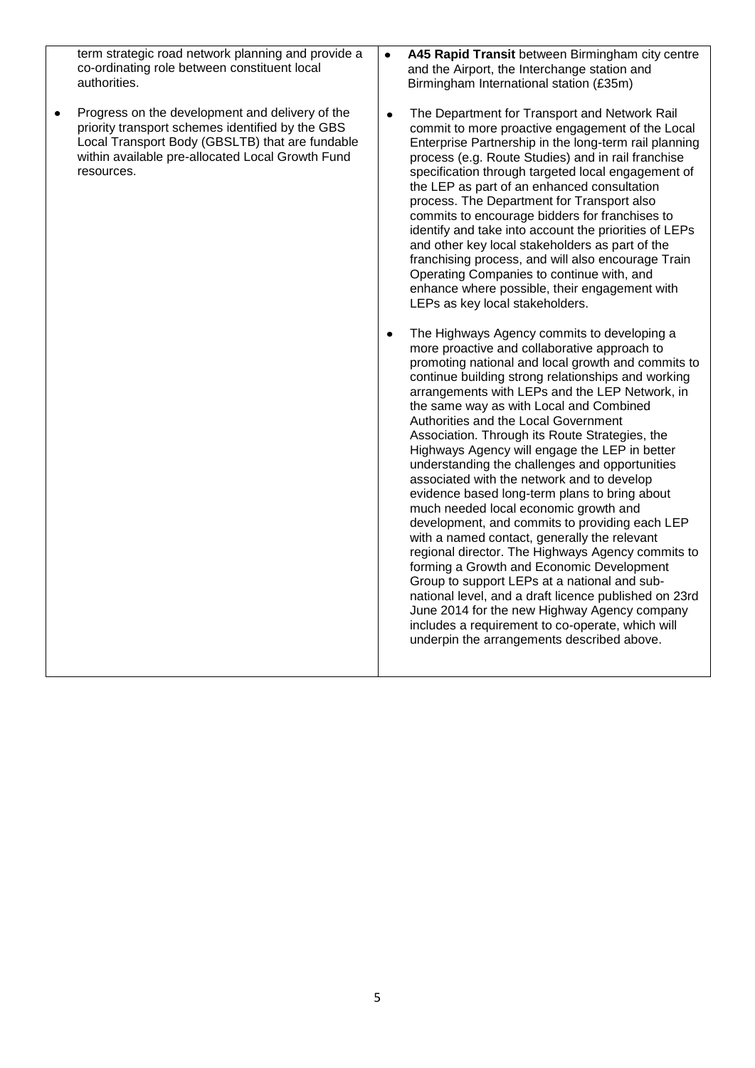| term strategic road network planning and provide a<br>co-ordinating role between constituent local<br>authorities.                                                                                                            | A45 Rapid Transit between Birmingham city centre<br>$\bullet$<br>and the Airport, the Interchange station and<br>Birmingham International station (£35m)                                                                                                                                                                                                                                                                                                                                                                                                                                                                                                                                                                                                                                                                                                                                                                                                                                                                                                                                                              |
|-------------------------------------------------------------------------------------------------------------------------------------------------------------------------------------------------------------------------------|-----------------------------------------------------------------------------------------------------------------------------------------------------------------------------------------------------------------------------------------------------------------------------------------------------------------------------------------------------------------------------------------------------------------------------------------------------------------------------------------------------------------------------------------------------------------------------------------------------------------------------------------------------------------------------------------------------------------------------------------------------------------------------------------------------------------------------------------------------------------------------------------------------------------------------------------------------------------------------------------------------------------------------------------------------------------------------------------------------------------------|
| Progress on the development and delivery of the<br>٠<br>priority transport schemes identified by the GBS<br>Local Transport Body (GBSLTB) that are fundable<br>within available pre-allocated Local Growth Fund<br>resources. | The Department for Transport and Network Rail<br>$\bullet$<br>commit to more proactive engagement of the Local<br>Enterprise Partnership in the long-term rail planning<br>process (e.g. Route Studies) and in rail franchise<br>specification through targeted local engagement of<br>the LEP as part of an enhanced consultation<br>process. The Department for Transport also<br>commits to encourage bidders for franchises to<br>identify and take into account the priorities of LEPs<br>and other key local stakeholders as part of the<br>franchising process, and will also encourage Train<br>Operating Companies to continue with, and<br>enhance where possible, their engagement with<br>LEPs as key local stakeholders.                                                                                                                                                                                                                                                                                                                                                                                 |
|                                                                                                                                                                                                                               | The Highways Agency commits to developing a<br>$\bullet$<br>more proactive and collaborative approach to<br>promoting national and local growth and commits to<br>continue building strong relationships and working<br>arrangements with LEPs and the LEP Network, in<br>the same way as with Local and Combined<br>Authorities and the Local Government<br>Association. Through its Route Strategies, the<br>Highways Agency will engage the LEP in better<br>understanding the challenges and opportunities<br>associated with the network and to develop<br>evidence based long-term plans to bring about<br>much needed local economic growth and<br>development, and commits to providing each LEP<br>with a named contact, generally the relevant<br>regional director. The Highways Agency commits to<br>forming a Growth and Economic Development<br>Group to support LEPs at a national and sub-<br>national level, and a draft licence published on 23rd<br>June 2014 for the new Highway Agency company<br>includes a requirement to co-operate, which will<br>underpin the arrangements described above. |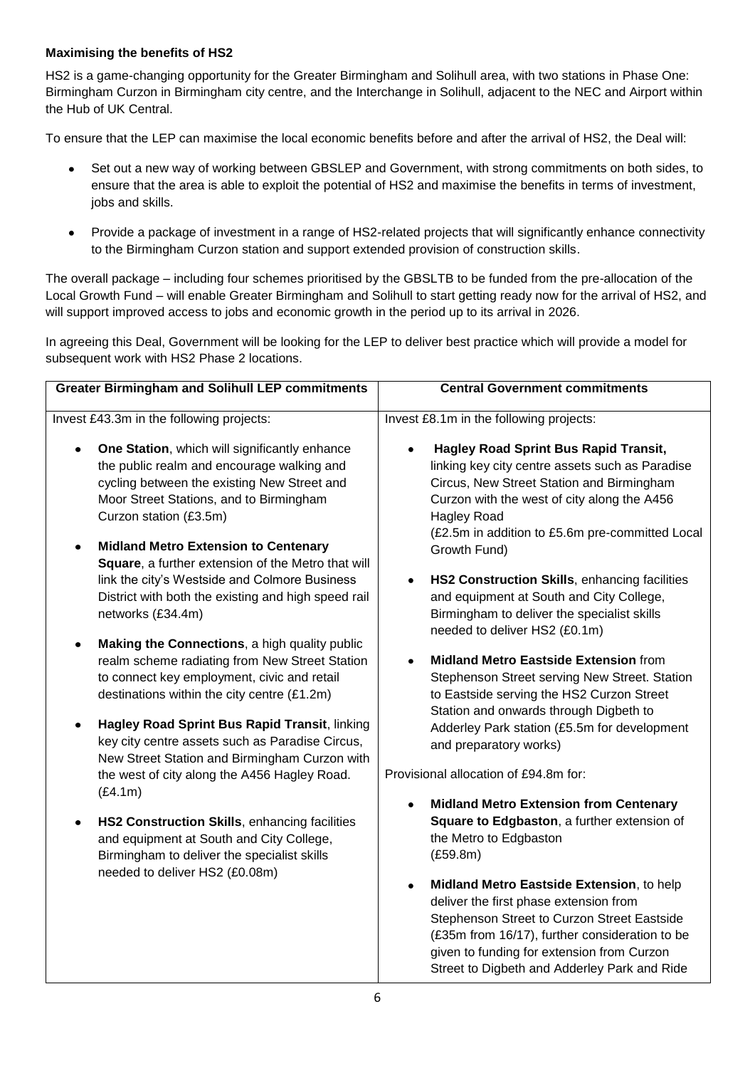# **Maximising the benefits of HS2**

HS2 is a game-changing opportunity for the Greater Birmingham and Solihull area, with two stations in Phase One: Birmingham Curzon in Birmingham city centre, and the Interchange in Solihull, adjacent to the NEC and Airport within the Hub of UK Central.

To ensure that the LEP can maximise the local economic benefits before and after the arrival of HS2, the Deal will:

- Set out a new way of working between GBSLEP and Government, with strong commitments on both sides, to ensure that the area is able to exploit the potential of HS2 and maximise the benefits in terms of investment, jobs and skills.
- Provide a package of investment in a range of HS2-related projects that will significantly enhance connectivity to the Birmingham Curzon station and support extended provision of construction skills.

The overall package – including four schemes prioritised by the GBSLTB to be funded from the pre-allocation of the Local Growth Fund – will enable Greater Birmingham and Solihull to start getting ready now for the arrival of HS2, and will support improved access to jobs and economic growth in the period up to its arrival in 2026.

In agreeing this Deal, Government will be looking for the LEP to deliver best practice which will provide a model for subsequent work with HS2 Phase 2 locations.

| <b>Greater Birmingham and Solihull LEP commitments</b>                                                                                                                                                                                                                                                                                                                                                                                                         | <b>Central Government commitments</b>                                                                                                                                                                                                                                                                                                                                                                                                         |
|----------------------------------------------------------------------------------------------------------------------------------------------------------------------------------------------------------------------------------------------------------------------------------------------------------------------------------------------------------------------------------------------------------------------------------------------------------------|-----------------------------------------------------------------------------------------------------------------------------------------------------------------------------------------------------------------------------------------------------------------------------------------------------------------------------------------------------------------------------------------------------------------------------------------------|
| Invest £43.3m in the following projects:                                                                                                                                                                                                                                                                                                                                                                                                                       | Invest £8.1m in the following projects:                                                                                                                                                                                                                                                                                                                                                                                                       |
| One Station, which will significantly enhance<br>the public realm and encourage walking and<br>cycling between the existing New Street and<br>Moor Street Stations, and to Birmingham<br>Curzon station (£3.5m)<br><b>Midland Metro Extension to Centenary</b><br>$\bullet$<br>Square, a further extension of the Metro that will<br>link the city's Westside and Colmore Business<br>District with both the existing and high speed rail<br>networks (£34.4m) | <b>Hagley Road Sprint Bus Rapid Transit,</b><br>linking key city centre assets such as Paradise<br>Circus, New Street Station and Birmingham<br>Curzon with the west of city along the A456<br><b>Hagley Road</b><br>(£2.5m in addition to £5.6m pre-committed Local<br>Growth Fund)<br>HS2 Construction Skills, enhancing facilities<br>$\bullet$<br>and equipment at South and City College,<br>Birmingham to deliver the specialist skills |
| Making the Connections, a high quality public<br>$\bullet$<br>realm scheme radiating from New Street Station<br>to connect key employment, civic and retail<br>destinations within the city centre (£1.2m)<br>Hagley Road Sprint Bus Rapid Transit, linking<br>$\bullet$<br>key city centre assets such as Paradise Circus,<br>New Street Station and Birmingham Curzon with<br>the west of city along the A456 Hagley Road.                                   | needed to deliver HS2 (£0.1m)<br><b>Midland Metro Eastside Extension from</b><br>Stephenson Street serving New Street. Station<br>to Eastside serving the HS2 Curzon Street<br>Station and onwards through Digbeth to<br>Adderley Park station (£5.5m for development<br>and preparatory works)<br>Provisional allocation of £94.8m for:                                                                                                      |
| (E4.1m)<br>HS2 Construction Skills, enhancing facilities<br>$\bullet$<br>and equipment at South and City College,<br>Birmingham to deliver the specialist skills<br>needed to deliver HS2 (£0.08m)                                                                                                                                                                                                                                                             | <b>Midland Metro Extension from Centenary</b><br>Square to Edgbaston, a further extension of<br>the Metro to Edgbaston<br>(E59.8m)<br>Midland Metro Eastside Extension, to help<br>deliver the first phase extension from<br>Stephenson Street to Curzon Street Eastside<br>(£35m from 16/17), further consideration to be<br>given to funding for extension from Curzon<br>Street to Digbeth and Adderley Park and Ride                      |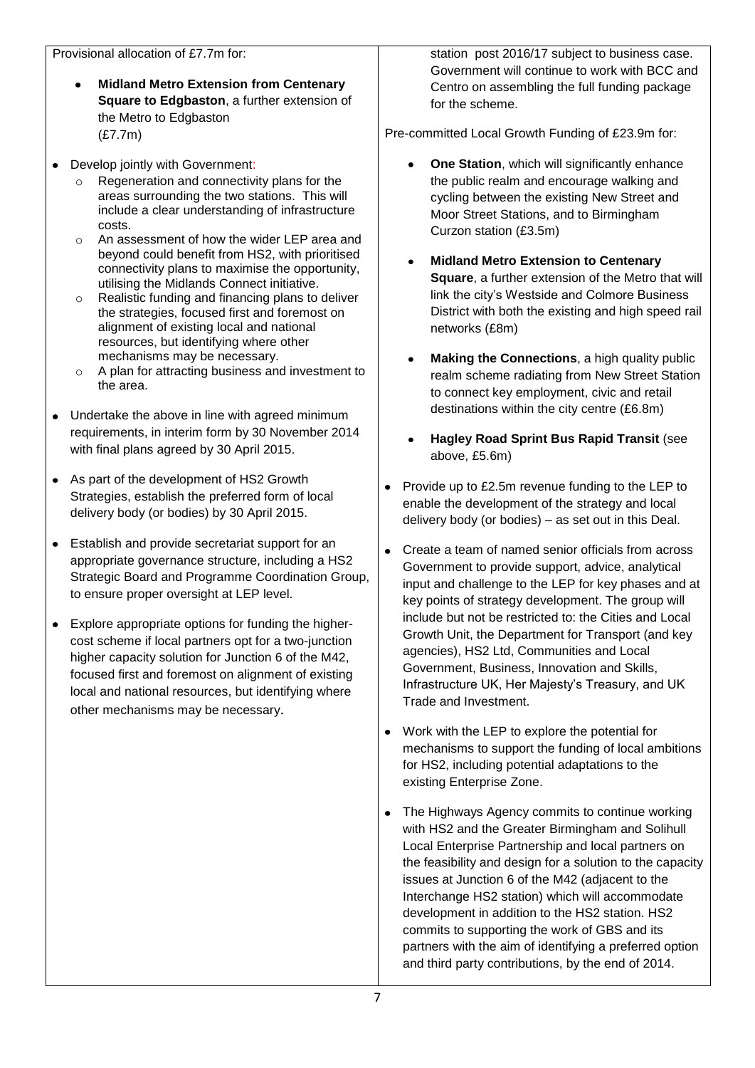- **Midland Metro Extension from Centenary**   $\bullet$ **Square to Edgbaston**, a further extension of the Metro to Edgbaston (£7.7m)
- $\bullet$ Develop jointly with Government:
	- Regeneration and connectivity plans for the areas surrounding the two stations. This will include a clear understanding of infrastructure costs.
	- o An assessment of how the wider LEP area and beyond could benefit from HS2, with prioritised connectivity plans to maximise the opportunity, utilising the Midlands Connect initiative.
	- o Realistic funding and financing plans to deliver the strategies, focused first and foremost on alignment of existing local and national resources, but identifying where other mechanisms may be necessary.
	- o A plan for attracting business and investment to the area.
- Undertake the above in line with agreed minimum  $\bullet$ requirements, in interim form by 30 November 2014 with final plans agreed by 30 April 2015.
- As part of the development of HS2 Growth Strategies, establish the preferred form of local delivery body (or bodies) by 30 April 2015.
- Establish and provide secretariat support for an appropriate governance structure, including a HS2 Strategic Board and Programme Coordination Group, to ensure proper oversight at LEP level.
- Explore appropriate options for funding the highercost scheme if local partners opt for a two-junction higher capacity solution for Junction 6 of the M42, focused first and foremost on alignment of existing local and national resources, but identifying where other mechanisms may be necessary.

station post 2016/17 subject to business case. Government will continue to work with BCC and Centro on assembling the full funding package for the scheme.

Pre-committed Local Growth Funding of £23.9m for:

- **One Station**, which will significantly enhance  $\bullet$ the public realm and encourage walking and cycling between the existing New Street and Moor Street Stations, and to Birmingham Curzon station (£3.5m)
- **Midland Metro Extension to Centenary**   $\bullet$ **Square**, a further extension of the Metro that will link the city's Westside and Colmore Business District with both the existing and high speed rail networks (£8m)
- **Making the Connections**, a high quality public realm scheme radiating from New Street Station to connect key employment, civic and retail destinations within the city centre (£6.8m)
- **Hagley Road Sprint Bus Rapid Transit** (see above, £5.6m)
- Provide up to £2.5m revenue funding to the LEP to enable the development of the strategy and local delivery body (or bodies) – as set out in this Deal.
- Create a team of named senior officials from across Government to provide support, advice, analytical input and challenge to the LEP for key phases and at key points of strategy development. The group will include but not be restricted to: the Cities and Local Growth Unit, the Department for Transport (and key agencies), HS2 Ltd, Communities and Local Government, Business, Innovation and Skills, Infrastructure UK, Her Majesty's Treasury, and UK Trade and Investment.
- Work with the LEP to explore the potential for mechanisms to support the funding of local ambitions for HS2, including potential adaptations to the existing Enterprise Zone.
- The Highways Agency commits to continue working with HS2 and the Greater Birmingham and Solihull Local Enterprise Partnership and local partners on the feasibility and design for a solution to the capacity issues at Junction 6 of the M42 (adjacent to the Interchange HS2 station) which will accommodate development in addition to the HS2 station. HS2 commits to supporting the work of GBS and its partners with the aim of identifying a preferred option and third party contributions, by the end of 2014.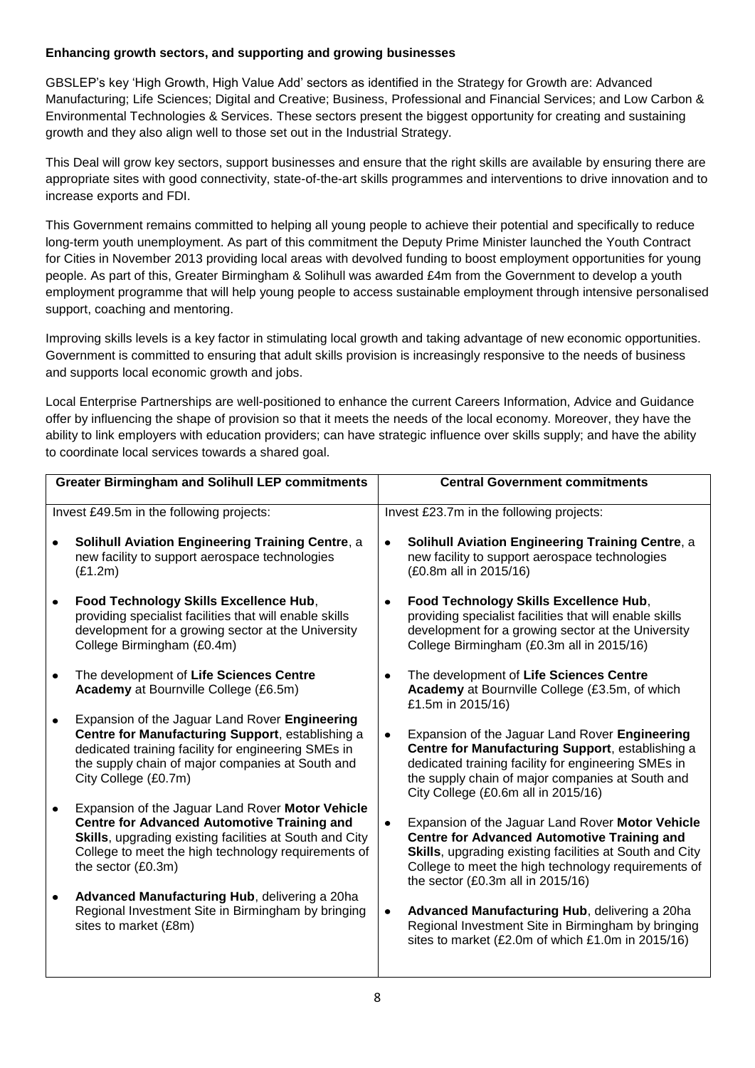## **Enhancing growth sectors, and supporting and growing businesses**

GBSLEP's key 'High Growth, High Value Add' sectors as identified in the Strategy for Growth are: Advanced Manufacturing; Life Sciences; Digital and Creative; Business, Professional and Financial Services; and Low Carbon & Environmental Technologies & Services. These sectors present the biggest opportunity for creating and sustaining growth and they also align well to those set out in the Industrial Strategy.

This Deal will grow key sectors, support businesses and ensure that the right skills are available by ensuring there are appropriate sites with good connectivity, state-of-the-art skills programmes and interventions to drive innovation and to increase exports and FDI.

This Government remains committed to helping all young people to achieve their potential and specifically to reduce long-term youth unemployment. As part of this commitment the Deputy Prime Minister launched the Youth Contract for Cities in November 2013 providing local areas with devolved funding to boost employment opportunities for young people. As part of this, Greater Birmingham & Solihull was awarded £4m from the Government to develop a youth employment programme that will help young people to access sustainable employment through intensive personalised support, coaching and mentoring.

Improving skills levels is a key factor in stimulating local growth and taking advantage of new economic opportunities. Government is committed to ensuring that adult skills provision is increasingly responsive to the needs of business and supports local economic growth and jobs.

Local Enterprise Partnerships are well-positioned to enhance the current Careers Information, Advice and Guidance offer by influencing the shape of provision so that it meets the needs of the local economy. Moreover, they have the ability to link employers with education providers; can have strategic influence over skills supply; and have the ability to coordinate local services towards a shared goal.

| <b>Greater Birmingham and Solihull LEP commitments</b> |                                                                                                                                                                                                                                                | <b>Central Government commitments</b>    |                                                                                                                                                                                                                                                                   |  |
|--------------------------------------------------------|------------------------------------------------------------------------------------------------------------------------------------------------------------------------------------------------------------------------------------------------|------------------------------------------|-------------------------------------------------------------------------------------------------------------------------------------------------------------------------------------------------------------------------------------------------------------------|--|
| Invest £49.5m in the following projects:               |                                                                                                                                                                                                                                                | Invest £23.7m in the following projects: |                                                                                                                                                                                                                                                                   |  |
|                                                        | <b>Solihull Aviation Engineering Training Centre, a</b><br>new facility to support aerospace technologies<br>(E1.2m)                                                                                                                           | $\bullet$                                | <b>Solihull Aviation Engineering Training Centre, a</b><br>new facility to support aerospace technologies<br>(£0.8m all in 2015/16)                                                                                                                               |  |
|                                                        | Food Technology Skills Excellence Hub,<br>providing specialist facilities that will enable skills<br>development for a growing sector at the University<br>College Birmingham (£0.4m)                                                          | $\bullet$                                | Food Technology Skills Excellence Hub,<br>providing specialist facilities that will enable skills<br>development for a growing sector at the University<br>College Birmingham (£0.3m all in 2015/16)                                                              |  |
|                                                        | The development of Life Sciences Centre<br>Academy at Bournville College (£6.5m)                                                                                                                                                               | $\bullet$                                | The development of Life Sciences Centre<br>Academy at Bournville College (£3.5m, of which<br>£1.5m in 2015/16)                                                                                                                                                    |  |
|                                                        | Expansion of the Jaguar Land Rover Engineering<br>Centre for Manufacturing Support, establishing a<br>dedicated training facility for engineering SMEs in<br>the supply chain of major companies at South and<br>City College (£0.7m)          | $\bullet$                                | Expansion of the Jaguar Land Rover Engineering<br>Centre for Manufacturing Support, establishing a<br>dedicated training facility for engineering SMEs in<br>the supply chain of major companies at South and<br>City College (£0.6m all in 2015/16)              |  |
|                                                        | Expansion of the Jaguar Land Rover Motor Vehicle<br><b>Centre for Advanced Automotive Training and</b><br>Skills, upgrading existing facilities at South and City<br>College to meet the high technology requirements of<br>the sector (£0.3m) | ٠                                        | Expansion of the Jaguar Land Rover Motor Vehicle<br><b>Centre for Advanced Automotive Training and</b><br>Skills, upgrading existing facilities at South and City<br>College to meet the high technology requirements of<br>the sector $(£0.3m$ all in $2015/16)$ |  |
|                                                        | Advanced Manufacturing Hub, delivering a 20ha<br>Regional Investment Site in Birmingham by bringing<br>sites to market (£8m)                                                                                                                   | $\bullet$                                | Advanced Manufacturing Hub, delivering a 20ha<br>Regional Investment Site in Birmingham by bringing<br>sites to market (£2.0m of which £1.0m in 2015/16)                                                                                                          |  |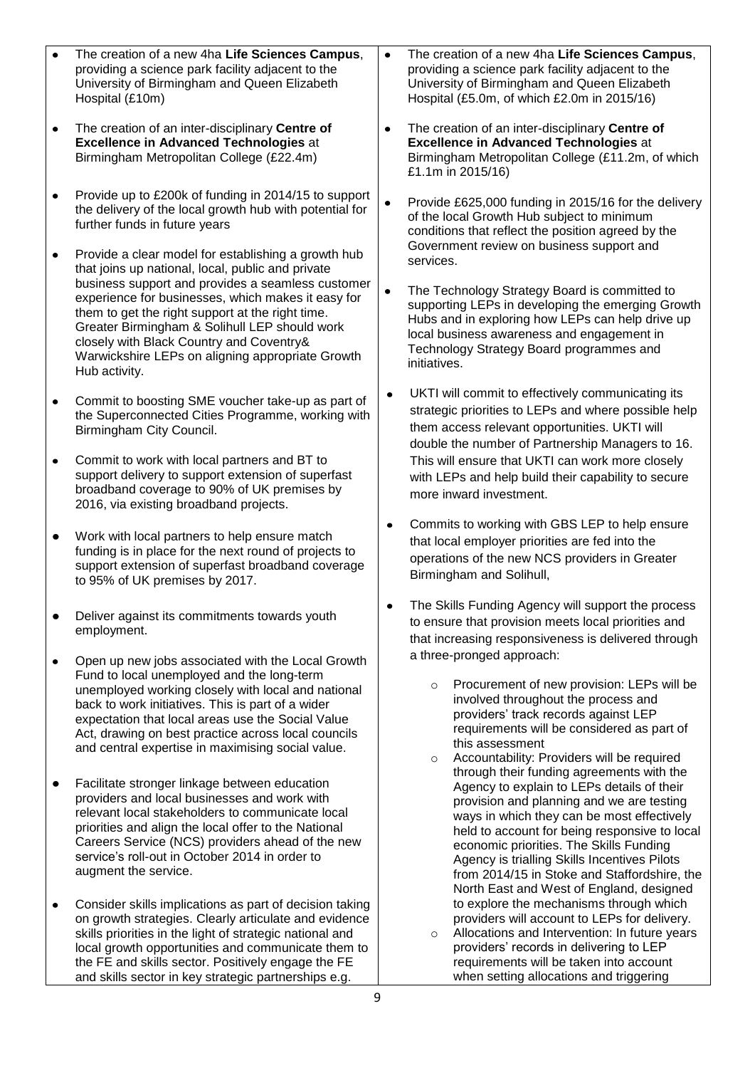|                | The creation of a new 4ha Life Sciences Campus,<br>providing a science park facility adjacent to the<br>University of Birmingham and Queen Elizabeth<br>Hospital (£10m)                                                                                                                                                                                                                                                                                                                                                                                                      |                        | The creation of a new 4ha Life Sciences Campus,<br>providing a science park facility adjacent to the<br>University of Birmingham and Queen Elizabeth<br>Hospital (£5.0m, of which £2.0m in 2015/16)                                                                                                                                                                                                                                                                    |
|----------------|------------------------------------------------------------------------------------------------------------------------------------------------------------------------------------------------------------------------------------------------------------------------------------------------------------------------------------------------------------------------------------------------------------------------------------------------------------------------------------------------------------------------------------------------------------------------------|------------------------|------------------------------------------------------------------------------------------------------------------------------------------------------------------------------------------------------------------------------------------------------------------------------------------------------------------------------------------------------------------------------------------------------------------------------------------------------------------------|
| $\bullet$      | The creation of an inter-disciplinary Centre of<br><b>Excellence in Advanced Technologies at</b><br>Birmingham Metropolitan College (£22.4m)                                                                                                                                                                                                                                                                                                                                                                                                                                 |                        | The creation of an inter-disciplinary Centre of<br><b>Excellence in Advanced Technologies at</b><br>Birmingham Metropolitan College (£11.2m, of which<br>£1.1m in 2015/16)                                                                                                                                                                                                                                                                                             |
| ٠<br>$\bullet$ | Provide up to £200k of funding in 2014/15 to support<br>the delivery of the local growth hub with potential for<br>further funds in future years<br>Provide a clear model for establishing a growth hub<br>that joins up national, local, public and private<br>business support and provides a seamless customer<br>experience for businesses, which makes it easy for<br>them to get the right support at the right time.<br>Greater Birmingham & Solihull LEP should work<br>closely with Black Country and Coventry&<br>Warwickshire LEPs on aligning appropriate Growth | $\bullet$<br>$\bullet$ | Provide £625,000 funding in 2015/16 for the delivery<br>of the local Growth Hub subject to minimum<br>conditions that reflect the position agreed by the<br>Government review on business support and<br>services.<br>The Technology Strategy Board is committed to<br>supporting LEPs in developing the emerging Growth<br>Hubs and in exploring how LEPs can help drive up<br>local business awareness and engagement in<br>Technology Strategy Board programmes and |
| $\bullet$      | Hub activity.<br>Commit to boosting SME voucher take-up as part of<br>the Superconnected Cities Programme, working with<br>Birmingham City Council.                                                                                                                                                                                                                                                                                                                                                                                                                          | $\bullet$              | initiatives.<br>UKTI will commit to effectively communicating its<br>strategic priorities to LEPs and where possible help<br>them access relevant opportunities. UKTI will                                                                                                                                                                                                                                                                                             |
| ٠              | Commit to work with local partners and BT to<br>support delivery to support extension of superfast<br>broadband coverage to 90% of UK premises by<br>2016, via existing broadband projects.                                                                                                                                                                                                                                                                                                                                                                                  |                        | double the number of Partnership Managers to 16.<br>This will ensure that UKTI can work more closely<br>with LEPs and help build their capability to secure<br>more inward investment.                                                                                                                                                                                                                                                                                 |
| ٠              | Work with local partners to help ensure match<br>funding is in place for the next round of projects to<br>support extension of superfast broadband coverage<br>to 95% of UK premises by 2017.                                                                                                                                                                                                                                                                                                                                                                                | $\bullet$              | Commits to working with GBS LEP to help ensure<br>that local employer priorities are fed into the<br>operations of the new NCS providers in Greater<br>Birmingham and Solihull,                                                                                                                                                                                                                                                                                        |
|                | Deliver against its commitments towards youth<br>employment.                                                                                                                                                                                                                                                                                                                                                                                                                                                                                                                 |                        | The Skills Funding Agency will support the process<br>to ensure that provision meets local priorities and<br>that increasing responsiveness is delivered through                                                                                                                                                                                                                                                                                                       |
| $\bullet$      | Open up new jobs associated with the Local Growth<br>Fund to local unemployed and the long-term<br>unemployed working closely with local and national<br>back to work initiatives. This is part of a wider<br>expectation that local areas use the Social Value<br>Act, drawing on best practice across local councils<br>and central expertise in maximising social value.                                                                                                                                                                                                  |                        | a three-pronged approach:<br>Procurement of new provision: LEPs will be<br>$\circ$<br>involved throughout the process and<br>providers' track records against LEP<br>requirements will be considered as part of<br>this assessment<br>Accountability: Providers will be required<br>$\circ$                                                                                                                                                                            |
| $\bullet$      | Facilitate stronger linkage between education<br>providers and local businesses and work with<br>relevant local stakeholders to communicate local<br>priorities and align the local offer to the National<br>Careers Service (NCS) providers ahead of the new<br>service's roll-out in October 2014 in order to<br>augment the service.                                                                                                                                                                                                                                      |                        | through their funding agreements with the<br>Agency to explain to LEPs details of their<br>provision and planning and we are testing<br>ways in which they can be most effectively<br>held to account for being responsive to local<br>economic priorities. The Skills Funding<br>Agency is trialling Skills Incentives Pilots<br>from 2014/15 in Stoke and Staffordshire, the<br>North East and West of England, designed                                             |
| ٠              | Consider skills implications as part of decision taking<br>on growth strategies. Clearly articulate and evidence<br>skills priorities in the light of strategic national and<br>local growth opportunities and communicate them to<br>the FE and skills sector. Positively engage the FE<br>and skills sector in key strategic partnerships e.g.<br>q                                                                                                                                                                                                                        |                        | to explore the mechanisms through which<br>providers will account to LEPs for delivery.<br>Allocations and Intervention: In future years<br>$\circ$<br>providers' records in delivering to LEP<br>requirements will be taken into account<br>when setting allocations and triggering                                                                                                                                                                                   |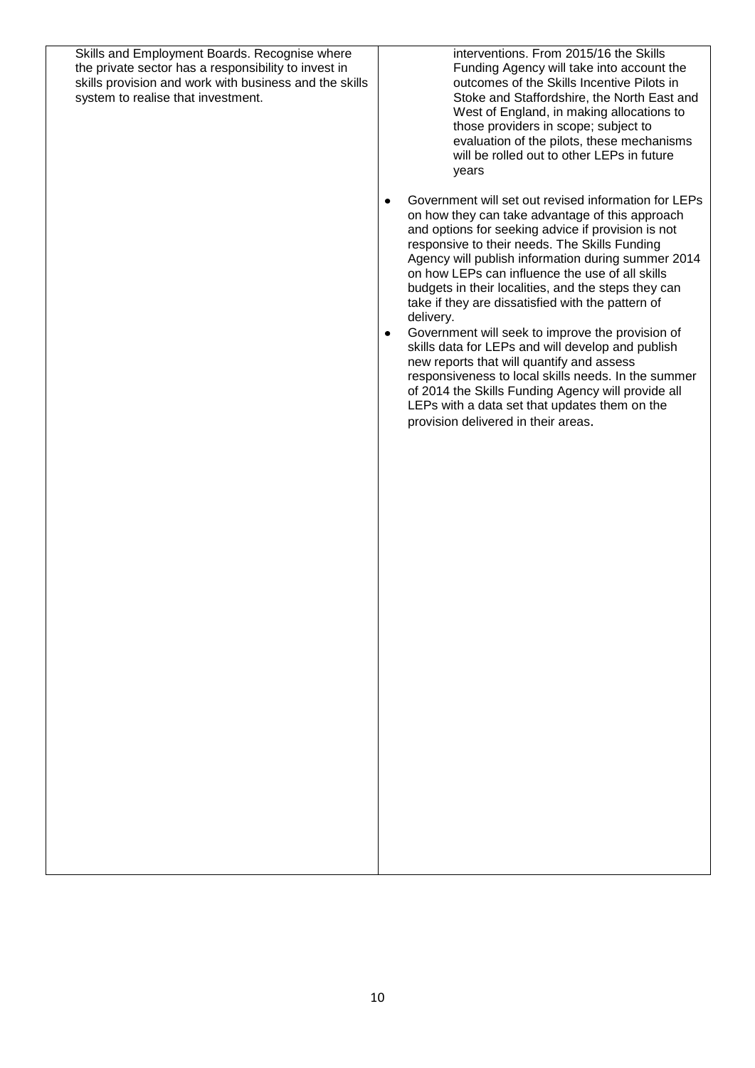| the private sector has a responsibility to invest in<br>skills provision and work with business and the skills<br>system to realise that investment. | Funding Agency will take into account the<br>outcomes of the Skills Incentive Pilots in<br>Stoke and Staffordshire, the North East and<br>West of England, in making allocations to<br>those providers in scope; subject to<br>evaluation of the pilots, these mechanisms<br>will be rolled out to other LEPs in future<br>years<br>Government will set out revised information for LEPs<br>$\bullet$<br>on how they can take advantage of this approach                                                                                                                                                                                                                                                      |
|------------------------------------------------------------------------------------------------------------------------------------------------------|---------------------------------------------------------------------------------------------------------------------------------------------------------------------------------------------------------------------------------------------------------------------------------------------------------------------------------------------------------------------------------------------------------------------------------------------------------------------------------------------------------------------------------------------------------------------------------------------------------------------------------------------------------------------------------------------------------------|
|                                                                                                                                                      | and options for seeking advice if provision is not<br>responsive to their needs. The Skills Funding<br>Agency will publish information during summer 2014<br>on how LEPs can influence the use of all skills<br>budgets in their localities, and the steps they can<br>take if they are dissatisfied with the pattern of<br>delivery.<br>Government will seek to improve the provision of<br>$\bullet$<br>skills data for LEPs and will develop and publish<br>new reports that will quantify and assess<br>responsiveness to local skills needs. In the summer<br>of 2014 the Skills Funding Agency will provide all<br>LEPs with a data set that updates them on the<br>provision delivered in their areas. |
|                                                                                                                                                      |                                                                                                                                                                                                                                                                                                                                                                                                                                                                                                                                                                                                                                                                                                               |